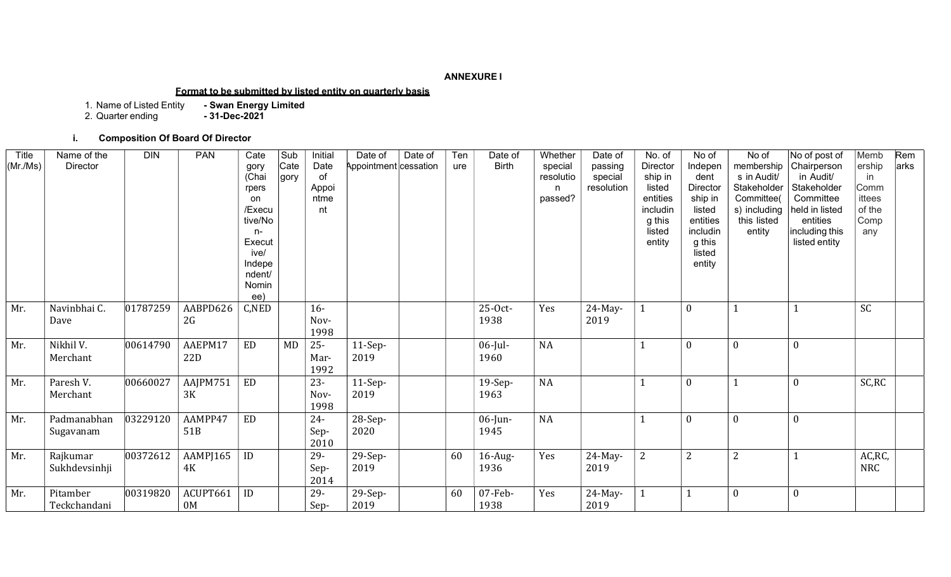## ANNEXURE I

#### Format to be submitted by listed entity on quarterly basis

1. Name of Listed Entity - Swan Energy Limited

2. Quarter ending **- 31-Dec-2021** 

#### i. Composition Of Board Of Director

| Title<br>(Mr/Ms) | Name of the<br>Director   | <b>DIN</b> | <b>PAN</b>                 | Cate<br>gory<br>(Chai<br>rpers<br>on<br>/Execu<br>tive/No<br>$n-$<br>Execut<br>ive/<br>Indepe<br>ndent/<br>Nomin<br>ee) | Sub<br>Cate<br>gory | Initial<br>Date<br>of<br>Appoi<br>ntme<br>nt | Date of<br>Date of<br>Appointment cessation | Ten<br>ure | Date of<br><b>Birth</b> | Whether<br>special<br>resolutio<br>n<br>passed? | Date of<br>passing<br>special<br>resolution | No. of<br>Director<br>ship in<br>listed<br>entities<br>includin<br>g this<br>listed<br>entity | No of<br>Indepen<br>dent<br>Director<br>ship in<br>listed<br>entities<br>includin<br>g this<br>listed<br>entity | No of<br>membership<br>s in Audit/<br>Stakeholder<br>Committee(<br>s) including<br>this listed<br>entity | No of post of<br>Chairperson<br>in Audit/<br>Stakeholder<br>Committee<br>held in listed<br>entities<br>including this<br>listed entity | Memb<br>ership<br>in<br>Comm<br>ittees<br>of the<br>Comp<br>any | Rem<br>arks |
|------------------|---------------------------|------------|----------------------------|-------------------------------------------------------------------------------------------------------------------------|---------------------|----------------------------------------------|---------------------------------------------|------------|-------------------------|-------------------------------------------------|---------------------------------------------|-----------------------------------------------------------------------------------------------|-----------------------------------------------------------------------------------------------------------------|----------------------------------------------------------------------------------------------------------|----------------------------------------------------------------------------------------------------------------------------------------|-----------------------------------------------------------------|-------------|
| Mr.              | Navinbhai C.<br>Dave      | 01787259   | AABPD626<br>2G             | C,NED                                                                                                                   |                     | $16-$<br>Nov-<br>1998                        |                                             |            | 25-Oct-<br>1938         | Yes                                             | $24$ -May-<br>2019                          |                                                                                               | $\mathbf{0}$                                                                                                    |                                                                                                          |                                                                                                                                        | SC                                                              |             |
| Mr.              | Nikhil V.<br>Merchant     | 00614790   | AAEPM17<br>22D             | <b>ED</b>                                                                                                               | MD                  | $25 -$<br>Mar-<br>1992                       | $11-Sep-$<br>2019                           |            | $06$ -Jul-<br>1960      | <b>NA</b>                                       |                                             |                                                                                               | $\mathbf{0}$                                                                                                    | $\boldsymbol{0}$                                                                                         | $\mathbf{0}$                                                                                                                           |                                                                 |             |
| Mr.              | Paresh V.<br>Merchant     | 00660027   | AAJPM751<br>3K             | <b>ED</b>                                                                                                               |                     | $23 -$<br>Nov-<br>1998                       | $11-Sep-$<br>2019                           |            | 19-Sep-<br>1963         | <b>NA</b>                                       |                                             |                                                                                               | $\mathbf{0}$                                                                                                    |                                                                                                          | $\mathbf{0}$                                                                                                                           | SC,RC                                                           |             |
| Mr.              | Padmanabhan<br>Sugavanam  | 03229120   | AAMPP47<br>51 <sub>B</sub> | ED                                                                                                                      |                     | $24 -$<br>Sep-<br>2010                       | 28-Sep-<br>2020                             |            | $06$ -Jun-<br>1945      | <b>NA</b>                                       |                                             |                                                                                               | $\mathbf{0}$                                                                                                    | $\boldsymbol{0}$                                                                                         | $\mathbf{0}$                                                                                                                           |                                                                 |             |
| Mr.              | Rajkumar<br>Sukhdevsinhji | 00372612   | AAMPJ165<br>4K             | ID                                                                                                                      |                     | $29 -$<br>Sep-<br>2014                       | 29-Sep-<br>2019                             | 60         | $16$ -Aug-<br>1936      | Yes                                             | $24$ -May-<br>2019                          | 2                                                                                             | 2                                                                                                               | $\overline{2}$                                                                                           |                                                                                                                                        | AC, RC,<br><b>NRC</b>                                           |             |
| Mr.              | Pitamber<br>Teckchandani  | 00319820   | ACUPT661<br>0 <sub>M</sub> | ID                                                                                                                      |                     | $29 -$<br>Sep-                               | 29-Sep-<br>2019                             | 60         | $07$ -Feb-<br>1938      | Yes                                             | $24$ -May-<br>2019                          |                                                                                               |                                                                                                                 | $\Omega$                                                                                                 | $\mathbf{0}$                                                                                                                           |                                                                 |             |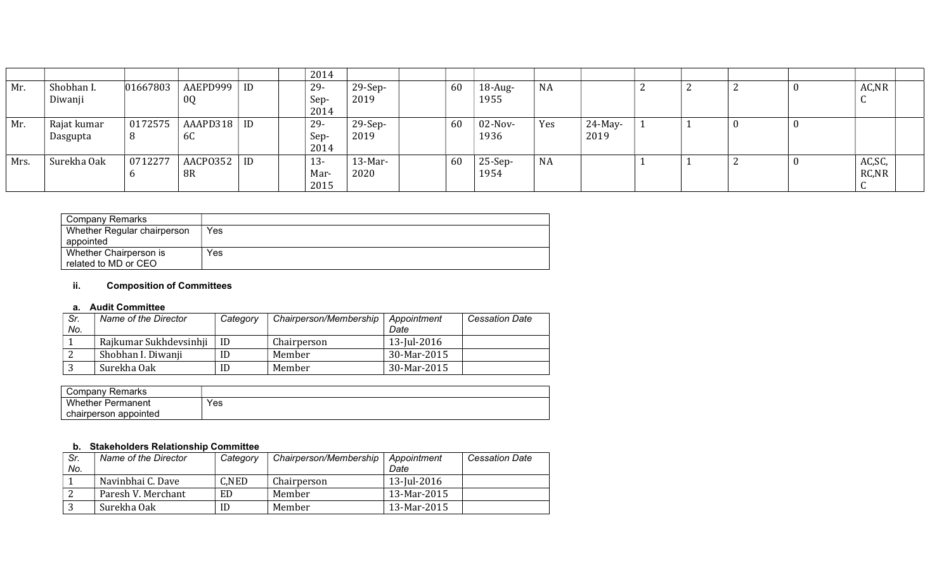|      |                         |              |                |    | 2014                   |                   |    |                    |           |                    |  |   |    |                   |  |
|------|-------------------------|--------------|----------------|----|------------------------|-------------------|----|--------------------|-----------|--------------------|--|---|----|-------------------|--|
| Mr.  | Shobhan I.<br>Diwanji   | 01667803     | AAEPD999<br>0Q | ID | 29-<br>Sep-<br>2014    | $29-Sep-$<br>2019 | 60 | $18$ -Aug-<br>1955 | <b>NA</b> |                    |  |   | 0  | AC, NR<br>v       |  |
| Mr.  | Rajat kumar<br>Dasgupta | 0172575<br>8 | AAAPD318<br>6C | ID | $29-$<br>Sep-<br>2014  | $29-Sep-$<br>2019 | 60 | $02$ -Nov-<br>1936 | Yes       | $24$ -May-<br>2019 |  | U | -0 |                   |  |
| Mrs. | Surekha Oak             | 0712277      | AACP0352<br>8R | ID | $13 -$<br>Mar-<br>2015 | $13-Mar-$<br>2020 | 60 | $25-Sep-$<br>1954  | <b>NA</b> |                    |  |   | -0 | AC, SC,<br>RC, NR |  |

| Company Remarks             |     |
|-----------------------------|-----|
| Whether Regular chairperson | Yes |
| appointed                   |     |
| Whether Chairperson is      | Yes |
| related to MD or CEO        |     |

## ii. Composition of Committees

#### a. Audit Committee

| Sr. | Name of the Director   | Category | Chairperson/Membership | Appointment | <b>Cessation Date</b> |
|-----|------------------------|----------|------------------------|-------------|-----------------------|
| No. |                        |          |                        | Date        |                       |
|     | Rajkumar Sukhdevsinhji | ID       | Chairperson            | 13-Jul-2016 |                       |
|     | Shobhan I. Diwanji     | ID       | Member                 | 30-Mar-2015 |                       |
|     | Surekha Oak            | ID       | Member                 | 30-Mar-2015 |                       |

| Company Remarks               |     |
|-------------------------------|-----|
| <b>Whether F</b><br>Permanent | Yes |
| chairperson appointed         |     |

## b. Stakeholders Relationship Committee

| Sr.<br>No. | Name of the Director | Category | Chairperson/Membership | Appointment<br>Date | <b>Cessation Date</b> |
|------------|----------------------|----------|------------------------|---------------------|-----------------------|
|            | Navinbhai C. Dave    | C.NED    | Chairperson            | 13-Jul-2016         |                       |
|            | Paresh V. Merchant   | ED       | Member                 | 13-Mar-2015         |                       |
|            | Surekha Oak          | ID       | Member                 | 13-Mar-2015         |                       |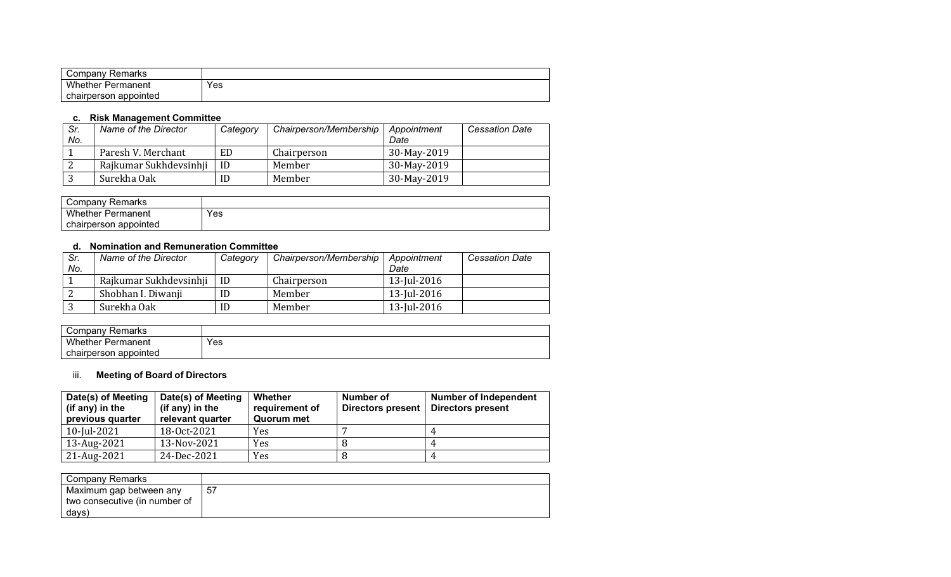| ' ompany:<br>Remarks     |     |
|--------------------------|-----|
| <b>Whether Permanent</b> | Yes |
| chairperson<br>appointed |     |

## c. Risk Management Committee

| Sr.<br>No. | Name of the Director   | Category | Chairperson/Membership | Appointment<br>Date | <b>Cessation Date</b> |
|------------|------------------------|----------|------------------------|---------------------|-----------------------|
|            | Paresh V. Merchant     | ED       | Chairperson            | 30-May-2019         |                       |
|            | Rajkumar Sukhdevsinhji | ID       | Member                 | 30-May-2019         |                       |
|            | Surekha Oak            | ID       | Member                 | 30-May-2019         |                       |

| Company Remarks       |     |
|-----------------------|-----|
| Whether<br>Permanent  | Yes |
| chairperson appointed |     |

## d. Nomination and Remuneration Committee

| Sr. | Name of the Director   | Category | Chairperson/Membership | Appointment | <b>Cessation Date</b> |
|-----|------------------------|----------|------------------------|-------------|-----------------------|
| No. |                        |          |                        | Date        |                       |
|     | Rajkumar Sukhdevsinhji | -ID      | Chairperson            | 13-Jul-2016 |                       |
|     | Shobhan I. Diwanji     | ID       | Member                 | 13-Jul-2016 |                       |
|     | Surekha Oak            | ID       | Member                 | 13-Jul-2016 |                       |

| ∵ompany ت<br>Remarks  |     |
|-----------------------|-----|
| Whether<br>Permanent  | Yes |
| chairperson appointed |     |

# iii. Meeting of Board of Directors

| Date(s) of Meeting<br>(if any) in the<br>previous quarter | Date(s) of Meeting<br>(if any) in the<br>relevant quarter | Whether<br>requirement of<br>Quorum met | Number of<br>Directors present | <b>Number of Independent</b><br><b>Directors present</b> |
|-----------------------------------------------------------|-----------------------------------------------------------|-----------------------------------------|--------------------------------|----------------------------------------------------------|
| 10-Jul-2021                                               | 18-0ct-2021                                               | Yes                                     |                                |                                                          |
| 13-Aug-2021                                               | 13-Nov-2021                                               | Yes                                     |                                |                                                          |
| 21-Aug-2021                                               | 24-Dec-2021                                               | Yes                                     |                                |                                                          |

| Company Remarks               |    |
|-------------------------------|----|
| Maximum gap between any       | 57 |
| two consecutive (in number of |    |
| days)                         |    |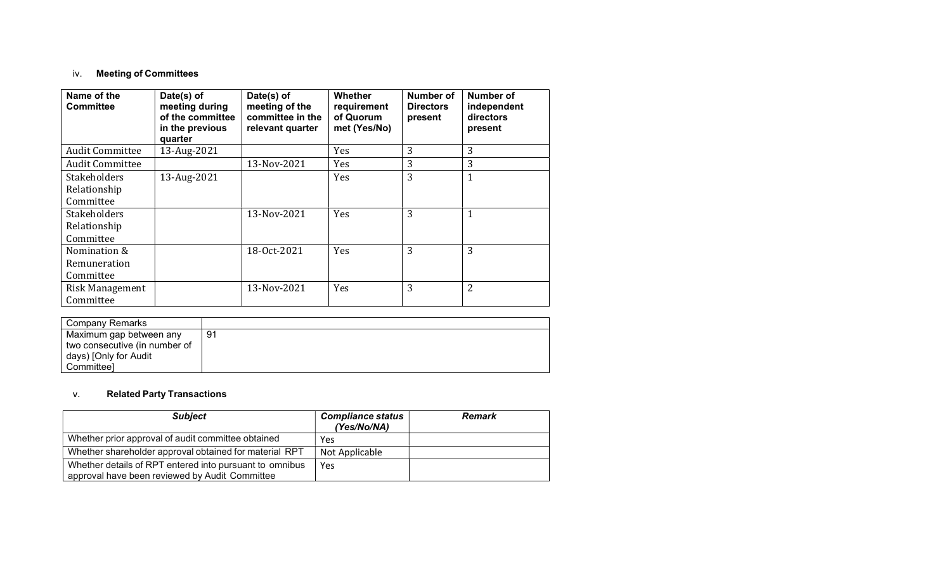# iv. Meeting of Committees

| Name of the<br><b>Committee</b> | Date(s) of<br>meeting during<br>of the committee<br>in the previous<br>quarter | Date(s) of<br>meeting of the<br>committee in the<br>relevant quarter | <b>Whether</b><br>requirement<br>of Quorum<br>met (Yes/No) | Number of<br><b>Directors</b><br>present | Number of<br>independent<br>directors<br>present |
|---------------------------------|--------------------------------------------------------------------------------|----------------------------------------------------------------------|------------------------------------------------------------|------------------------------------------|--------------------------------------------------|
| <b>Audit Committee</b>          | 13-Aug-2021                                                                    |                                                                      | Yes                                                        | 3                                        | 3                                                |
| <b>Audit Committee</b>          |                                                                                | 13-Nov-2021                                                          | Yes                                                        | 3                                        | 3                                                |
| Stakeholders                    | 13-Aug-2021                                                                    |                                                                      | Yes                                                        | 3                                        | 1                                                |
| Relationship                    |                                                                                |                                                                      |                                                            |                                          |                                                  |
| Committee                       |                                                                                |                                                                      |                                                            |                                          |                                                  |
| <b>Stakeholders</b>             |                                                                                | 13-Nov-2021                                                          | Yes                                                        | 3                                        | 1                                                |
| Relationship                    |                                                                                |                                                                      |                                                            |                                          |                                                  |
| Committee                       |                                                                                |                                                                      |                                                            |                                          |                                                  |
| Nomination &                    |                                                                                | 18-Oct-2021                                                          | Yes                                                        | 3                                        | 3                                                |
| Remuneration                    |                                                                                |                                                                      |                                                            |                                          |                                                  |
| Committee                       |                                                                                |                                                                      |                                                            |                                          |                                                  |
| Risk Management                 |                                                                                | 13-Nov-2021                                                          | Yes                                                        | 3                                        | 2                                                |
| Committee                       |                                                                                |                                                                      |                                                            |                                          |                                                  |

| Company Remarks               |     |
|-------------------------------|-----|
| Maximum gap between any       | -91 |
| two consecutive (in number of |     |
| days) [Only for Audit         |     |
| Committeel                    |     |

## v. Related Party Transactions

| <b>Subject</b>                                                                                            | <b>Compliance status</b><br>(Yes/No/NA) | <b>Remark</b> |
|-----------------------------------------------------------------------------------------------------------|-----------------------------------------|---------------|
| Whether prior approval of audit committee obtained                                                        | Yes                                     |               |
| Whether shareholder approval obtained for material RPT                                                    | Not Applicable                          |               |
| Whether details of RPT entered into pursuant to omnibus<br>approval have been reviewed by Audit Committee | Yes                                     |               |